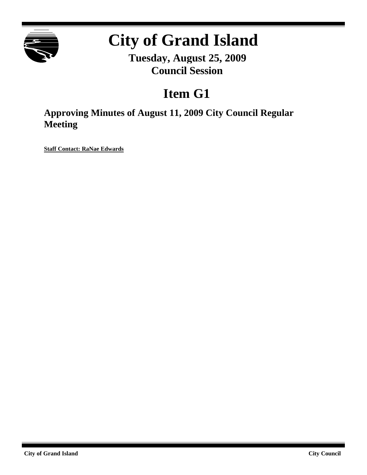

# **City of Grand Island**

**Tuesday, August 25, 2009 Council Session**

# **Item G1**

**Approving Minutes of August 11, 2009 City Council Regular Meeting**

**Staff Contact: RaNae Edwards**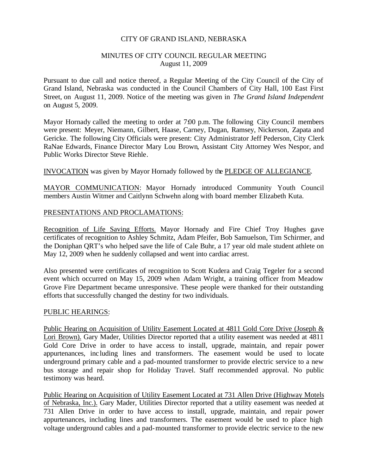#### CITY OF GRAND ISLAND, NEBRASKA

#### MINUTES OF CITY COUNCIL REGULAR MEETING August 11, 2009

Pursuant to due call and notice thereof, a Regular Meeting of the City Council of the City of Grand Island, Nebraska was conducted in the Council Chambers of City Hall, 100 East First Street, on August 11, 2009. Notice of the meeting was given in *The Grand Island Independent* on August 5, 2009.

Mayor Hornady called the meeting to order at 7:00 p.m. The following City Council members were present: Meyer, Niemann, Gilbert, Haase, Carney, Dugan, Ramsey, Nickerson, Zapata and Gericke. The following City Officials were present: City Administrator Jeff Pederson, City Clerk RaNae Edwards, Finance Director Mary Lou Brown, Assistant City Attorney Wes Nespor, and Public Works Director Steve Riehle.

INVOCATION was given by Mayor Hornady followed by the PLEDGE OF ALLEGIANCE.

MAYOR COMMUNICATION: Mayor Hornady introduced Community Youth Council members Austin Witmer and Caitlynn Schwehn along with board member Elizabeth Kuta.

#### PRESENTATIONS AND PROCLAMATIONS:

Recognition of Life Saving Efforts. Mayor Hornady and Fire Chief Troy Hughes gave certificates of recognition to Ashley Schmitz, Adam Pfeifer, Bob Samuelson, Tim Schirmer, and the Doniphan QRT's who helped save the life of Cale Buhr, a 17 year old male student athlete on May 12, 2009 when he suddenly collapsed and went into cardiac arrest.

Also presented were certificates of recognition to Scott Kudera and Craig Tegeler for a second event which occurred on May 15, 2009 when Adam Wright, a training officer from Meadow Grove Fire Department became unresponsive. These people were thanked for their outstanding efforts that successfully changed the destiny for two individuals.

#### PUBLIC HEARINGS:

Public Hearing on Acquisition of Utility Easement Located at 4811 Gold Core Drive (Joseph & Lori Brown). Gary Mader, Utilities Director reported that a utility easement was needed at 4811 Gold Core Drive in order to have access to install, upgrade, maintain, and repair power appurtenances, inc luding lines and transformers. The easement would be used to locate underground primary cable and a pad-mounted transformer to provide electric service to a new bus storage and repair shop for Holiday Travel. Staff recommended approval. No public testimony was heard.

Public Hearing on Acquisition of Utility Easement Located at 731 Allen Drive (Highway Motels of Nebraska, Inc.). Gary Mader, Utilities Director reported that a utility easement was needed at 731 Allen Drive in order to have access to install, upgrade, maintain, and repair power appurtenances, including lines and transformers. The easement would be used to place high voltage underground cables and a pad-mounted transformer to provide electric service to the new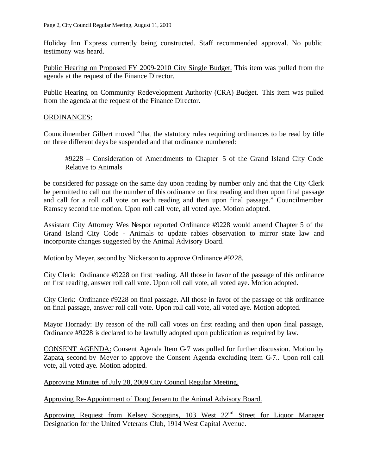Holiday Inn Express currently being constructed. Staff recommended approval. No public testimony was heard.

Public Hearing on Proposed FY 2009-2010 City Single Budget. This item was pulled from the agenda at the request of the Finance Director.

Public Hearing on Community Redevelopment Authority (CRA) Budget. This item was pulled from the agenda at the request of the Finance Director.

### ORDINANCES:

Councilmember Gilbert moved "that the statutory rules requiring ordinances to be read by title on three different days be suspended and that ordinance numbered:

#9228 – Consideration of Amendments to Chapter 5 of the Grand Island City Code Relative to Animals

be considered for passage on the same day upon reading by number only and that the City Clerk be permitted to call out the number of this ordinance on first reading and then upon final passage and call for a roll call vote on each reading and then upon final passage." Councilmember Ramsey second the motion. Upon roll call vote, all voted aye. Motion adopted.

Assistant City Attorney Wes Nespor reported Ordinance #9228 would amend Chapter 5 of the Grand Island City Code - Animals to update rabies observation to mirror state law and incorporate changes suggested by the Animal Advisory Board.

Motion by Meyer, second by Nickerson to approve Ordinance #9228.

City Clerk: Ordinance #9228 on first reading. All those in favor of the passage of this ordinance on first reading, answer roll call vote. Upon roll call vote, all voted aye. Motion adopted.

City Clerk: Ordinance #9228 on final passage. All those in favor of the passage of this ordinance on final passage, answer roll call vote. Upon roll call vote, all voted aye. Motion adopted.

Mayor Hornady: By reason of the roll call votes on first reading and then upon final passage, Ordinance #9228 is declared to be lawfully adopted upon publication as required by law.

CONSENT AGENDA: Consent Agenda Item G-7 was pulled for further discussion. Motion by Zapata, second by Meyer to approve the Consent Agenda excluding item G-7.. Upon roll call vote, all voted aye. Motion adopted.

Approving Minutes of July 28, 2009 City Council Regular Meeting.

Approving Re-Appointment of Doug Jensen to the Animal Advisory Board.

Approving Request from Kelsey Scoggins, 103 West 22<sup>nd</sup> Street for Liquor Manager Designation for the United Veterans Club, 1914 West Capital Avenue.